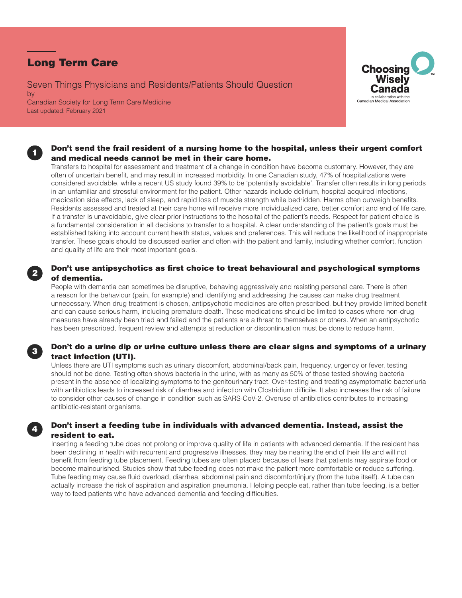# Long Term Care

1

2

3

4

Seven Things Physicians and Residents/Patients Should Question by Canadian Society for Long Term Care Medicine Last updated: February 2021



### Don't send the frail resident of a nursing home to the hospital, unless their urgent comfort and medical needs cannot be met in their care home.

Transfers to hospital for assessment and treatment of a change in condition have become customary. However, they are often of uncertain benefit, and may result in increased morbidity. In one Canadian study, 47% of hospitalizations were considered avoidable, while a recent US study found 39% to be 'potentially avoidable'. Transfer often results in long periods in an unfamiliar and stressful environment for the patient. Other hazards include delirium, hospital acquired infections, medication side effects, lack of sleep, and rapid loss of muscle strength while bedridden. Harms often outweigh benefits. Residents assessed and treated at their care home will receive more individualized care, better comfort and end of life care. If a transfer is unavoidable, give clear prior instructions to the hospital of the patient's needs. Respect for patient choice is a fundamental consideration in all decisions to transfer to a hospital. A clear understanding of the patient's goals must be established taking into account current health status, values and preferences. This will reduce the likelihood of inappropriate transfer. These goals should be discussed earlier and often with the patient and family, including whether comfort, function and quality of life are their most important goals.

# Don't use antipsychotics as first choice to treat behavioural and psychological symptoms of dementia.

People with dementia can sometimes be disruptive, behaving aggressively and resisting personal care. There is often a reason for the behaviour (pain, for example) and identifying and addressing the causes can make drug treatment unnecessary. When drug treatment is chosen, antipsychotic medicines are often prescribed, but they provide limited benefit and can cause serious harm, including premature death. These medications should be limited to cases where non-drug measures have already been tried and failed and the patients are a threat to themselves or others. When an antipsychotic has been prescribed, frequent review and attempts at reduction or discontinuation must be done to reduce harm.

# Don't do a urine dip or urine culture unless there are clear signs and symptoms of a urinary tract infection (UTI).

Unless there are UTI symptoms such as urinary discomfort, abdominal/back pain, frequency, urgency or fever, testing should not be done. Testing often shows bacteria in the urine, with as many as 50% of those tested showing bacteria present in the absence of localizing symptoms to the genitourinary tract. Over-testing and treating asymptomatic bacteriuria with antibiotics leads to increased risk of diarrhea and infection with Clostridium difficile. It also increases the risk of failure to consider other causes of change in condition such as SARS-CoV-2. Overuse of antibiotics contributes to increasing antibiotic-resistant organisms.

# Don't insert a feeding tube in individuals with advanced dementia. Instead, assist the resident to eat.

Inserting a feeding tube does not prolong or improve quality of life in patients with advanced dementia. If the resident has been declining in health with recurrent and progressive illnesses, they may be nearing the end of their life and will not benefit from feeding tube placement. Feeding tubes are often placed because of fears that patients may aspirate food or become malnourished. Studies show that tube feeding does not make the patient more comfortable or reduce suffering. Tube feeding may cause fluid overload, diarrhea, abdominal pain and discomfort/injury (from the tube itself). A tube can actually increase the risk of aspiration and aspiration pneumonia. Helping people eat, rather than tube feeding, is a better way to feed patients who have advanced dementia and feeding difficulties.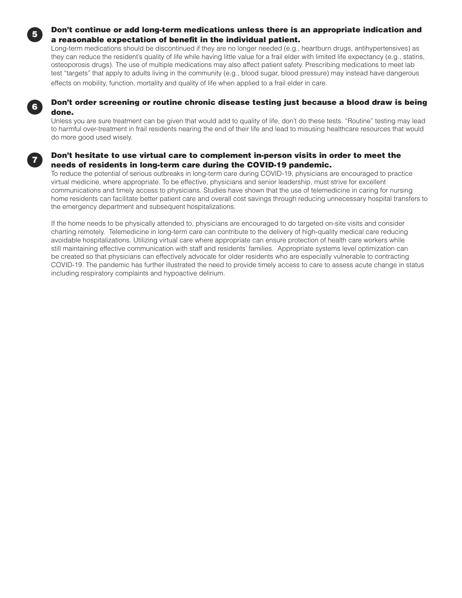### Don't continue or add long-term medications unless there is an appropriate indication and a reasonable expectation of benefit in the individual patient.

Long-term medications should be discontinued if they are no longer needed (e.g., heartburn drugs, antihypertensives) as they can reduce the resident's quality of life while having little value for a frail elder with limited life expectancy (e.g., statins, osteoporosis drugs). The use of multiple medications may also affect patient safety. Prescribing medications to meet lab test "targets" that apply to adults living in the community (e.g., blood sugar, blood pressure) may instead have dangerous effects on mobility, function, mortality and quality of life when applied to a frail elder in care.



7

5

# Don't order screening or routine chronic disease testing just because a blood draw is being done.

Unless you are sure treatment can be given that would add to quality of life, don't do these tests. "Routine" testing may lead to harmful over-treatment in frail residents nearing the end of their life and lead to misusing healthcare resources that would do more good used wisely.

### Don't hesitate to use virtual care to complement in-person visits in order to meet the needs of residents in long-term care during the COVID-19 pandemic.

To reduce the potential of serious outbreaks in long-term care during COVID-19, physicians are encouraged to practice virtual medicine, where appropriate. To be effective, physicians and senior leadership, must strive for excellent communications and timely access to physicians. Studies have shown that the use of telemedicine in caring for nursing home residents can facilitate better patient care and overall cost savings through reducing unnecessary hospital transfers to the emergency department and subsequent hospitalizations.

If the home needs to be physically attended to, physicians are encouraged to do targeted on-site visits and consider charting remotely. Telemedicine in long-term care can contribute to the delivery of high-quality medical care reducing avoidable hospitalizations. Utilizing virtual care where appropriate can ensure protection of health care workers while still maintaining effective communication with staff and residents' families. Appropriate systems level optimization can be created so that physicians can effectively advocate for older residents who are especially vulnerable to contracting COVID-19. The pandemic has further illustrated the need to provide timely access to care to assess acute change in status including respiratory complaints and hypoactive delirium.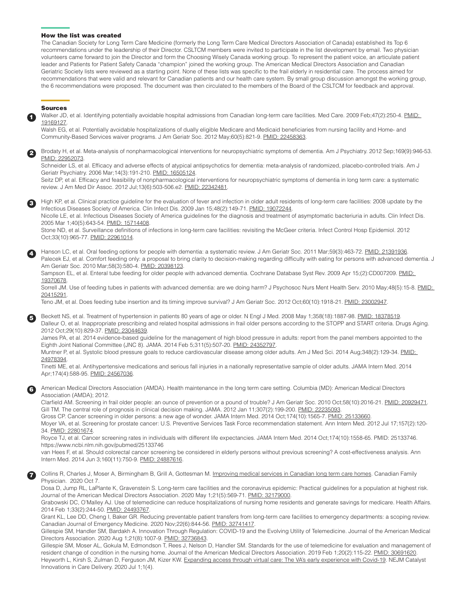#### How the list was created

The Canadian Society for Long Term Care Medicine (formerly the Long Term Care Medical Directors Association of Canada) established its Top 6 recommendations under the leadership of their Director. CSLTCM members were invited to participate in the list development by email. Two physician volunteers came forward to join the Director and form the Choosing Wisely Canada working group. To represent the patient voice, an articulate patient leader and Patients for Patient Safety Canada "champion" joined the working group. The American Medical Directors Association and Canadian Geriatric Society lists were reviewed as a starting point. None of these lists was specific to the frail elderly in residential care. The process aimed for recommendations that were valid and relevant for Canadian patients and our health care system. By small group discussion amongst the working group, the 6 recommendations were proposed. The document was then circulated to the members of the Board of the CSLTCM for feedback and approval.

#### Sources

1

3

4

5

6

7

Walker JD, et al. Identifying potentially avoidable hospital admissions from Canadian long-term care facilities. Med Care. 2009 Feb;47(2):250-4. [PMID:](https://www.ncbi.nlm.nih.gov/pubmed/19169127)  [19169127.](https://www.ncbi.nlm.nih.gov/pubmed/19169127)

Walsh EG, et al. Potentially avoidable hospitalizations of dually eligible Medicare and Medicaid beneficiaries from nursing facility and Home- and Community-Based Services waiver programs. J Am Geriatr Soc. 2012 May;60(5):821-9. [PMID: 22458363.](https://www.ncbi.nlm.nih.gov/pubmed/22458363)

Brodaty H, et al. Meta-analysis of nonpharmacological interventions for neuropsychiatric symptoms of dementia. Am J Psychiatry. 2012 Sep;169(9):946-53. [PMID: 22952073](https://www.ncbi.nlm.nih.gov/pubmed/22952073).

Schneider LS, et al. Efficacy and adverse effects of atypical antipsychotics for dementia: meta-analysis of randomized, placebo-controlled trials. Am J Geriatr Psychiatry. 2006 Mar;14(3):191-210. [PMID: 16505124.](https://www.ncbi.nlm.nih.gov/pubmed/16505124)

Seitz DP, et al. Efficacy and feasibility of nonpharmacological interventions for neuropsychiatric symptoms of dementia in long term care: a systematic review. J Am Med Dir Assoc. 2012 Jul;13(6):503-506.e2. [PMID: 22342481.](https://www.ncbi.nlm.nih.gov/pubmed/22342481)

High KP, et al. Clinical practice guideline for the evaluation of fever and infection in older adult residents of long-term care facilities: 2008 update by the Infectious Diseases Society of America. Clin Infect Dis. 2009 Jan 15;48(2):149-71. [PMID: 19072244](https://www.ncbi.nlm.nih.gov/pubmed/19072244).

Nicolle LE, et al. Infectious Diseases Society of America guidelines for the diagnosis and treatment of asymptomatic bacteriuria in adults. Clin Infect Dis. 2005 Mar 1;40(5):643-54. [PMID: 15714408.](https://www.ncbi.nlm.nih.gov/pubmed/15714408)

Stone ND, et al. Surveillance definitions of infections in long-term care facilities: revisiting the McGeer criteria. Infect Control Hosp Epidemiol. 2012 Oct;33(10):965-77. [PMID: 22961014.](https://www.ncbi.nlm.nih.gov/pubmed/22961014)

Hanson LC, et al. Oral feeding options for people with dementia: a systematic review. J Am Geriatr Soc. 2011 Mar;59(3):463-72. [PMID: 21391936.](https://www.ncbi.nlm.nih.gov/pubmed/21391936) Palecek EJ, et al. Comfort feeding only: a proposal to bring clarity to decision-making regarding difficulty with eating for persons with advanced dementia. J Am Geriatr Soc. 2010 Mar;58(3):580-4. [PMID: 20398123.](https://www.ncbi.nlm.nih.gov/pubmed/20398123)

Sampson EL, et al. Enteral tube feeding for older people with advanced dementia. Cochrane Database Syst Rev. 2009 Apr 15;(2):CD007209. PMID: [19370678.](https://www.ncbi.nlm.nih.gov/pubmed/19370678)

Sorrell JM. Use of feeding tubes in patients with advanced dementia: are we doing harm? J Psychosoc Nurs Ment Health Serv. 2010 May;48(5):15-8. [PMID:](https://www.ncbi.nlm.nih.gov/pubmed/20415291)  [20415291.](https://www.ncbi.nlm.nih.gov/pubmed/20415291)

Teno JM, et al. Does feeding tube insertion and its timing improve survival? J Am Geriatr Soc. 2012 Oct;60(10):1918-21. [PMID: 23002947.](https://www.ncbi.nlm.nih.gov/pubmed/23002947)

Beckett NS, et al. Treatment of hypertension in patients 80 years of age or older. N Engl J Med. 2008 May 1;358(18):1887-98. [PMID: 18378519](https://www.ncbi.nlm.nih.gov/pubmed/18378519). Dalleur O, et al. Inappropriate prescribing and related hospital admissions in frail older persons according to the STOPP and START criteria. Drugs Aging. 2012 Oct;29(10):829-37. [PMID: 23044639.](https://www.ncbi.nlm.nih.gov/pubmed/23044639)

James PA, et al. 2014 evidence-based guideline for the management of high blood pressure in adults: report from the panel members appointed to the Eighth Joint National Committee (JNC 8). JAMA. 2014 Feb 5;311(5):507-20. [PMID: 24352797](https://www.ncbi.nlm.nih.gov/pubmed/24352797).

Muntner P, et al. Systolic blood pressure goals to reduce cardiovascular disease among older adults. Am J Med Sci. 2014 Aug;348(2):129-34. PMID: [24978394.](https://www.ncbi.nlm.nih.gov/pubmed/24978394)

Tinetti ME, et al. Antihypertensive medications and serious fall injuries in a nationally representative sample of older adults. JAMA Intern Med. 2014 Apr;174(4):588-95. [PMID: 24567036.](https://www.ncbi.nlm.nih.gov/pubmed/24567036)

American Medical Directors Association (AMDA). Health maintenance in the long term care setting. Columbia (MD): American Medical Directors Association (AMDA); 2012.

Clarfield AM. Screening in frail older people: an ounce of prevention or a pound of trouble? J Am Geriatr Soc. 2010 Oct;58(10):2016-21. [PMID: 20929471.](https://www.ncbi.nlm.nih.gov/pubmed/20929471) Gill TM. The central role of prognosis in clinical decision making. JAMA. 2012 Jan 11;307(2):199-200. [PMID: 22235093](https://www.ncbi.nlm.nih.gov/pubmed/22235093)

Gross CP. Cancer screening in older persons: a new age of wonder. JAMA Intern Med. 2014 Oct;174(10):1565-7. [PMID: 25133660.](https://www.ncbi.nlm.nih.gov/pubmed/25133660)

Moyer VA, et al. Screening for prostate cancer: U.S. Preventive Services Task Force recommendation statement. Ann Intern Med. 2012 Jul 17;157(2):120- 34. [PMID: 22801674.](https://www.ncbi.nlm.nih.gov/pubmed/22801674)

Royce TJ, et al. Cancer screening rates in individuals with different life expectancies. JAMA Intern Med. 2014 Oct;174(10):1558-65. PMID: 25133746. https://www.ncbi.nlm.nih.gov/pubmed/25133746

van Hees F, et al. Should colorectal cancer screening be considered in elderly persons without previous screening? A cost-effectiveness analysis. Ann Intern Med. 2014 Jun 3;160(11):750-9. [PMID: 24887616](https://www.ncbi.nlm.nih.gov/pubmed/24887616).

Collins R, Charles J, Moser A, Birmingham B, Grill A, Gottesman M. [Improving medical services in Canadian long term care homes](https://www.cfp.ca/news/2020/10/07/10-07). Canadian Family Physician. 2020 Oct 7.

Dosa D, Jump RL, LaPlante K, Gravenstein S. Long-term care facilities and the coronavirus epidemic: Practical guidelines for a population at highest risk. Journal of the American Medical Directors Association. 2020 May 1;21(5):569-71. [PMID: 32179000.](https://www.ncbi.nlm.nih.gov/pubmed/32179000/)

Grabowski DC, O'Malley AJ. Use of telemedicine can reduce hospitalizations of nursing home residents and generate savings for medicare. Health Affairs. 2014 Feb 1;33(2):244-50. [PMID: 24493767.](https://pubmed.ncbi.nlm.nih.gov/24493767)

Grant KL, Lee DD, Cheng I, Baker GR. Reducing preventable patient transfers from long-term care facilities to emergency departments: a scoping review. Canadian Journal of Emergency Medicine. 2020 Nov;22(6):844-56. [PMID: 32741417.](https://pubmed.ncbi.nlm.nih.gov/32741417)

Gillespie SM, Handler SM, Bardakh A. Innovation Through Regulation: COVID-19 and the Evolving Utility of Telemedicine. Journal of the American Medical Directors Association. 2020 Aug 1;21(8):1007-9. [PMID: 32736843.](https://www.ncbi.nlm.nih.gov/pubmed/32736843)

Gillespie SM, Moser AL, Gokula M, Edmondson T, Rees J, Nelson D, Handler SM. Standards for the use of telemedicine for evaluation and management of resident change of condition in the nursing home. Journal of the American Medical Directors Association. 2019 Feb 1;20(2):115-22. [PMID: 30691620.](https://www.ncbi.nlm.nih.gov/pubmed/30691620/) Heyworth L, Kirsh S, Zulman D, Ferguson JM, Kizer KW. [Expanding access through virtual care: The VA's early experience with Covid-19](https://catalyst.nejm.org/doi/full/10.1056/cat.20.0327). NEJM Catalyst Innovations in Care Delivery. 2020 Jul 1;1(4).